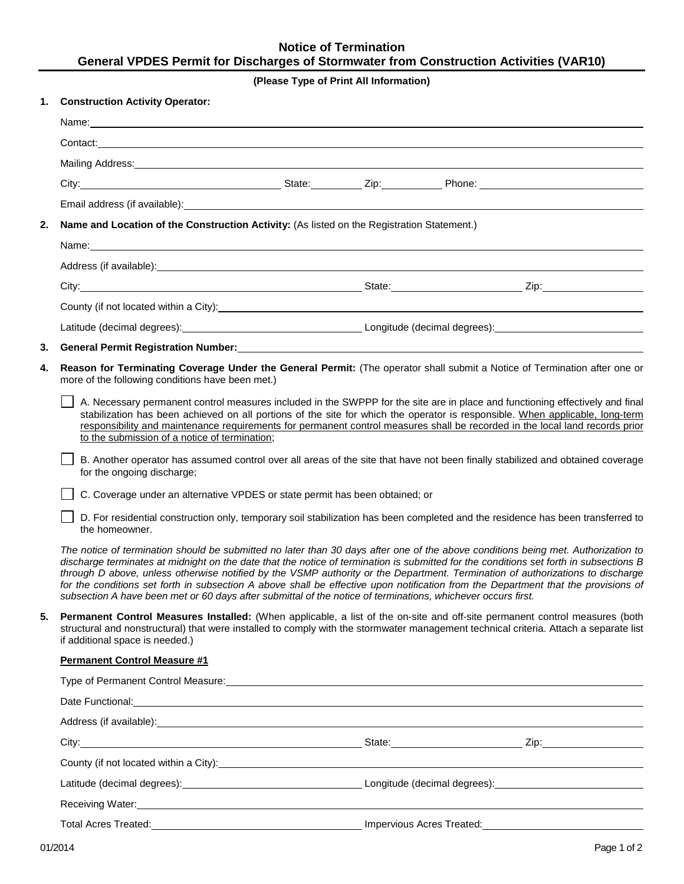# **Notice of Termination General VPDES Permit for Discharges of Stormwater from Construction Activities (VAR10)**

## **(Please Type of Print All Information)**

| 1. | <b>Construction Activity Operator:</b>                                                                                                                                                                                                                                                                                                                                                                                                                                                                                                                                                                                                                              |                                                                                                                                                                                                                                      |  |                                                                                                                                                                                                                                      |  |  |
|----|---------------------------------------------------------------------------------------------------------------------------------------------------------------------------------------------------------------------------------------------------------------------------------------------------------------------------------------------------------------------------------------------------------------------------------------------------------------------------------------------------------------------------------------------------------------------------------------------------------------------------------------------------------------------|--------------------------------------------------------------------------------------------------------------------------------------------------------------------------------------------------------------------------------------|--|--------------------------------------------------------------------------------------------------------------------------------------------------------------------------------------------------------------------------------------|--|--|
|    |                                                                                                                                                                                                                                                                                                                                                                                                                                                                                                                                                                                                                                                                     |                                                                                                                                                                                                                                      |  |                                                                                                                                                                                                                                      |  |  |
|    |                                                                                                                                                                                                                                                                                                                                                                                                                                                                                                                                                                                                                                                                     |                                                                                                                                                                                                                                      |  |                                                                                                                                                                                                                                      |  |  |
|    |                                                                                                                                                                                                                                                                                                                                                                                                                                                                                                                                                                                                                                                                     |                                                                                                                                                                                                                                      |  |                                                                                                                                                                                                                                      |  |  |
|    |                                                                                                                                                                                                                                                                                                                                                                                                                                                                                                                                                                                                                                                                     |                                                                                                                                                                                                                                      |  |                                                                                                                                                                                                                                      |  |  |
|    | Email address (if available): example and a series of the series of the series of the series of the series of the series of the series of the series of the series of the series of the series of the series of the series of                                                                                                                                                                                                                                                                                                                                                                                                                                       |                                                                                                                                                                                                                                      |  |                                                                                                                                                                                                                                      |  |  |
| 2. | Name and Location of the Construction Activity: (As listed on the Registration Statement.)                                                                                                                                                                                                                                                                                                                                                                                                                                                                                                                                                                          |                                                                                                                                                                                                                                      |  |                                                                                                                                                                                                                                      |  |  |
|    |                                                                                                                                                                                                                                                                                                                                                                                                                                                                                                                                                                                                                                                                     |                                                                                                                                                                                                                                      |  |                                                                                                                                                                                                                                      |  |  |
|    |                                                                                                                                                                                                                                                                                                                                                                                                                                                                                                                                                                                                                                                                     |                                                                                                                                                                                                                                      |  |                                                                                                                                                                                                                                      |  |  |
|    |                                                                                                                                                                                                                                                                                                                                                                                                                                                                                                                                                                                                                                                                     |                                                                                                                                                                                                                                      |  |                                                                                                                                                                                                                                      |  |  |
|    |                                                                                                                                                                                                                                                                                                                                                                                                                                                                                                                                                                                                                                                                     |                                                                                                                                                                                                                                      |  | County (if not located within a City): <b>contract to the contract of the contract of the contract of the contract of the contract of the contract of the contract of the contract of the contract of the contract of the contra</b> |  |  |
|    |                                                                                                                                                                                                                                                                                                                                                                                                                                                                                                                                                                                                                                                                     |                                                                                                                                                                                                                                      |  |                                                                                                                                                                                                                                      |  |  |
| 3. |                                                                                                                                                                                                                                                                                                                                                                                                                                                                                                                                                                                                                                                                     | <b>General Permit Registration Number: William School School School School School School School School School School School School School School School School School School School School School School School School School Sc</b> |  |                                                                                                                                                                                                                                      |  |  |
| 4. | Reason for Terminating Coverage Under the General Permit: (The operator shall submit a Notice of Termination after one or<br>more of the following conditions have been met.)                                                                                                                                                                                                                                                                                                                                                                                                                                                                                       |                                                                                                                                                                                                                                      |  |                                                                                                                                                                                                                                      |  |  |
|    | A. Necessary permanent control measures included in the SWPPP for the site are in place and functioning effectively and final<br>stabilization has been achieved on all portions of the site for which the operator is responsible. When applicable, long-term<br>responsibility and maintenance requirements for permanent control measures shall be recorded in the local land records prior<br>to the submission of a notice of termination;                                                                                                                                                                                                                     |                                                                                                                                                                                                                                      |  |                                                                                                                                                                                                                                      |  |  |
|    | B. Another operator has assumed control over all areas of the site that have not been finally stabilized and obtained coverage<br>for the ongoing discharge;                                                                                                                                                                                                                                                                                                                                                                                                                                                                                                        |                                                                                                                                                                                                                                      |  |                                                                                                                                                                                                                                      |  |  |
|    | C. Coverage under an alternative VPDES or state permit has been obtained; or                                                                                                                                                                                                                                                                                                                                                                                                                                                                                                                                                                                        |                                                                                                                                                                                                                                      |  |                                                                                                                                                                                                                                      |  |  |
|    | D. For residential construction only, temporary soil stabilization has been completed and the residence has been transferred to<br>the homeowner.                                                                                                                                                                                                                                                                                                                                                                                                                                                                                                                   |                                                                                                                                                                                                                                      |  |                                                                                                                                                                                                                                      |  |  |
|    | The notice of termination should be submitted no later than 30 days after one of the above conditions being met. Authorization to<br>discharge terminates at midnight on the date that the notice of termination is submitted for the conditions set forth in subsections B<br>through D above, unless otherwise notified by the VSMP authority or the Department. Termination of authorizations to discharge<br>for the conditions set forth in subsection A above shall be effective upon notification from the Department that the provisions of<br>subsection A have been met or 60 days after submittal of the notice of terminations, whichever occurs first. |                                                                                                                                                                                                                                      |  |                                                                                                                                                                                                                                      |  |  |
| 5. | <b>Permanent Control Measures Installed:</b> (When applicable, a list of the on-site and off-site permanent control measures (both<br>structural and nonstructural) that were installed to comply with the stormwater management technical criteria. Attach a separate list<br>if additional space is needed.)                                                                                                                                                                                                                                                                                                                                                      |                                                                                                                                                                                                                                      |  |                                                                                                                                                                                                                                      |  |  |
|    | <b>Permanent Control Measure #1</b>                                                                                                                                                                                                                                                                                                                                                                                                                                                                                                                                                                                                                                 |                                                                                                                                                                                                                                      |  |                                                                                                                                                                                                                                      |  |  |
|    | Type of Permanent Control Measure: Manual Content of Permanent Control Measure:                                                                                                                                                                                                                                                                                                                                                                                                                                                                                                                                                                                     |                                                                                                                                                                                                                                      |  |                                                                                                                                                                                                                                      |  |  |
|    | Date Functional: <u>Contract Communication</u> Contract Communication Contract Communication Communication Communication                                                                                                                                                                                                                                                                                                                                                                                                                                                                                                                                            |                                                                                                                                                                                                                                      |  |                                                                                                                                                                                                                                      |  |  |
|    |                                                                                                                                                                                                                                                                                                                                                                                                                                                                                                                                                                                                                                                                     |                                                                                                                                                                                                                                      |  |                                                                                                                                                                                                                                      |  |  |
|    |                                                                                                                                                                                                                                                                                                                                                                                                                                                                                                                                                                                                                                                                     |                                                                                                                                                                                                                                      |  | City: Zip: Zip: 27.12.2010 2.2010 2.2010 2.2010 2.2010 2.2010 2.2010 2.2010 2.2010 2.2010 2.2010 2.2010 2.2010                                                                                                                       |  |  |
|    |                                                                                                                                                                                                                                                                                                                                                                                                                                                                                                                                                                                                                                                                     |                                                                                                                                                                                                                                      |  | County (if not located within a City): Manufactured and the country of the country (if not located within a City):                                                                                                                   |  |  |
|    |                                                                                                                                                                                                                                                                                                                                                                                                                                                                                                                                                                                                                                                                     |                                                                                                                                                                                                                                      |  |                                                                                                                                                                                                                                      |  |  |

Receiving Water: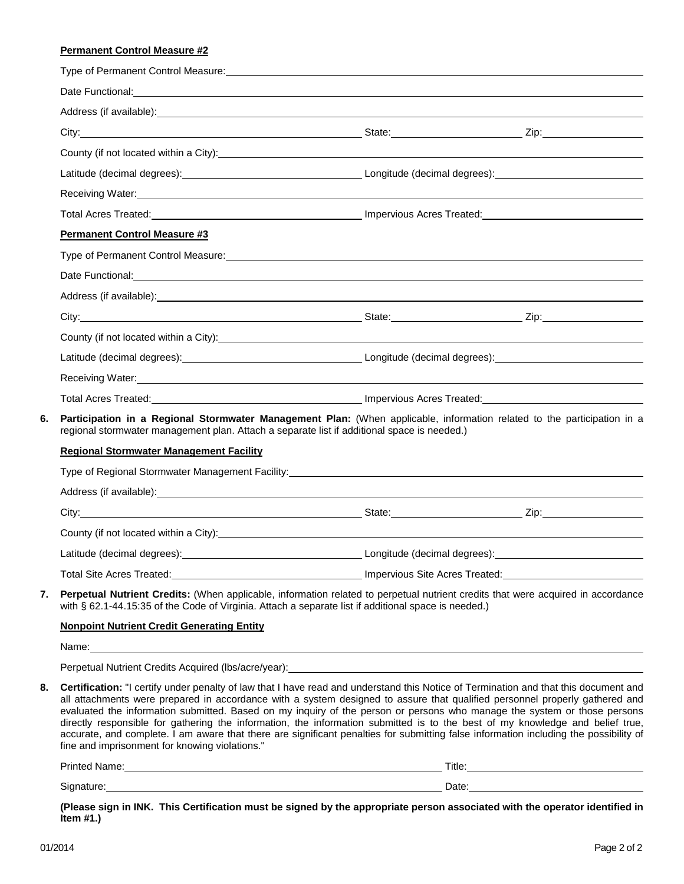## **Permanent Control Measure #2**

|    | Type of Permanent Control Measure: Management Control of Type of Permanent Control of Type of Permanent Control                                                                                                                                                                                                                                                                                                                                                                                                                                                                                                                                                                                                             |                                                                                                                                                              |                                                                                                                                                                                                                                                                                            |  |  |  |
|----|-----------------------------------------------------------------------------------------------------------------------------------------------------------------------------------------------------------------------------------------------------------------------------------------------------------------------------------------------------------------------------------------------------------------------------------------------------------------------------------------------------------------------------------------------------------------------------------------------------------------------------------------------------------------------------------------------------------------------------|--------------------------------------------------------------------------------------------------------------------------------------------------------------|--------------------------------------------------------------------------------------------------------------------------------------------------------------------------------------------------------------------------------------------------------------------------------------------|--|--|--|
|    | Date Functional: <u>contract and a series of the series of the series of the series of the series of the series of the series of the series of the series of the series of the series of the series of the series of the series </u>                                                                                                                                                                                                                                                                                                                                                                                                                                                                                        |                                                                                                                                                              |                                                                                                                                                                                                                                                                                            |  |  |  |
|    |                                                                                                                                                                                                                                                                                                                                                                                                                                                                                                                                                                                                                                                                                                                             |                                                                                                                                                              |                                                                                                                                                                                                                                                                                            |  |  |  |
|    |                                                                                                                                                                                                                                                                                                                                                                                                                                                                                                                                                                                                                                                                                                                             |                                                                                                                                                              |                                                                                                                                                                                                                                                                                            |  |  |  |
|    | County (if not located within a City): <u>contract the contract of the contract of the contract of the contract of</u>                                                                                                                                                                                                                                                                                                                                                                                                                                                                                                                                                                                                      |                                                                                                                                                              |                                                                                                                                                                                                                                                                                            |  |  |  |
|    |                                                                                                                                                                                                                                                                                                                                                                                                                                                                                                                                                                                                                                                                                                                             |                                                                                                                                                              |                                                                                                                                                                                                                                                                                            |  |  |  |
|    |                                                                                                                                                                                                                                                                                                                                                                                                                                                                                                                                                                                                                                                                                                                             |                                                                                                                                                              |                                                                                                                                                                                                                                                                                            |  |  |  |
|    |                                                                                                                                                                                                                                                                                                                                                                                                                                                                                                                                                                                                                                                                                                                             |                                                                                                                                                              | Total Acres Treated: <b>Acres</b> Treated: <b>Acres</b> Treated: <b>Acres</b> Treated: <b>Acres</b> Treated: <b>Acres</b> Treated: <b>Acres</b> Treated: <b>Acres</b> Treated: <b>Acres</b> Treated: <b>Acres</b> Treated: <b>Acres</b> Treated: <b>Acres</b> Treated: <b>Acres</b> Treate |  |  |  |
|    | <b>Permanent Control Measure #3</b>                                                                                                                                                                                                                                                                                                                                                                                                                                                                                                                                                                                                                                                                                         |                                                                                                                                                              |                                                                                                                                                                                                                                                                                            |  |  |  |
|    |                                                                                                                                                                                                                                                                                                                                                                                                                                                                                                                                                                                                                                                                                                                             |                                                                                                                                                              |                                                                                                                                                                                                                                                                                            |  |  |  |
|    |                                                                                                                                                                                                                                                                                                                                                                                                                                                                                                                                                                                                                                                                                                                             |                                                                                                                                                              |                                                                                                                                                                                                                                                                                            |  |  |  |
|    | Address (if available): <u>contract and a series of the series of the series of the series of the series of the series of the series of the series of the series of the series of the series of the series of the series of the </u>                                                                                                                                                                                                                                                                                                                                                                                                                                                                                        |                                                                                                                                                              |                                                                                                                                                                                                                                                                                            |  |  |  |
|    |                                                                                                                                                                                                                                                                                                                                                                                                                                                                                                                                                                                                                                                                                                                             |                                                                                                                                                              |                                                                                                                                                                                                                                                                                            |  |  |  |
|    | County (if not located within a City): Manual Community of the County of the County (if not located within a City):                                                                                                                                                                                                                                                                                                                                                                                                                                                                                                                                                                                                         |                                                                                                                                                              |                                                                                                                                                                                                                                                                                            |  |  |  |
|    |                                                                                                                                                                                                                                                                                                                                                                                                                                                                                                                                                                                                                                                                                                                             |                                                                                                                                                              |                                                                                                                                                                                                                                                                                            |  |  |  |
|    | Receiving Water: New York Channels and Channels and Channels and Channels and Channels and Channels and Channels and Channels and Channels and Channels and Channels and Channels and Channels and Channels and Channels and C                                                                                                                                                                                                                                                                                                                                                                                                                                                                                              |                                                                                                                                                              |                                                                                                                                                                                                                                                                                            |  |  |  |
|    |                                                                                                                                                                                                                                                                                                                                                                                                                                                                                                                                                                                                                                                                                                                             | Total Acres Treated: <b>Market Acres Treated:</b> Market Acres Treated: <b>Market Acres Treated:</b> Market Acres Treated: <b>Market Acres Treated:</b> 2014 |                                                                                                                                                                                                                                                                                            |  |  |  |
| 6. | Participation in a Regional Stormwater Management Plan: (When applicable, information related to the participation in a<br>regional stormwater management plan. Attach a separate list if additional space is needed.)                                                                                                                                                                                                                                                                                                                                                                                                                                                                                                      |                                                                                                                                                              |                                                                                                                                                                                                                                                                                            |  |  |  |
|    | <b>Regional Stormwater Management Facility</b>                                                                                                                                                                                                                                                                                                                                                                                                                                                                                                                                                                                                                                                                              |                                                                                                                                                              |                                                                                                                                                                                                                                                                                            |  |  |  |
|    | Type of Regional Stormwater Management Facility: Network and Contract the Contract of Regional Stormwater Management Facility:                                                                                                                                                                                                                                                                                                                                                                                                                                                                                                                                                                                              |                                                                                                                                                              |                                                                                                                                                                                                                                                                                            |  |  |  |
|    |                                                                                                                                                                                                                                                                                                                                                                                                                                                                                                                                                                                                                                                                                                                             |                                                                                                                                                              |                                                                                                                                                                                                                                                                                            |  |  |  |
|    |                                                                                                                                                                                                                                                                                                                                                                                                                                                                                                                                                                                                                                                                                                                             |                                                                                                                                                              |                                                                                                                                                                                                                                                                                            |  |  |  |
|    | County (if not located within a City): Manual Assembly and the country of the country of the country of the country of the country of the country of the country of the country of the country of the country of the country o                                                                                                                                                                                                                                                                                                                                                                                                                                                                                              |                                                                                                                                                              |                                                                                                                                                                                                                                                                                            |  |  |  |
|    |                                                                                                                                                                                                                                                                                                                                                                                                                                                                                                                                                                                                                                                                                                                             |                                                                                                                                                              |                                                                                                                                                                                                                                                                                            |  |  |  |
|    | <b>Total Site Acres Treated:</b>                                                                                                                                                                                                                                                                                                                                                                                                                                                                                                                                                                                                                                                                                            |                                                                                                                                                              | <b>Example 2018 19 Apple 2019 19:30 Impervious Site Acres Treated:</b>                                                                                                                                                                                                                     |  |  |  |
| 7. | Perpetual Nutrient Credits: (When applicable, information related to perpetual nutrient credits that were acquired in accordance<br>with § 62.1-44.15:35 of the Code of Virginia. Attach a separate list if additional space is needed.)                                                                                                                                                                                                                                                                                                                                                                                                                                                                                    |                                                                                                                                                              |                                                                                                                                                                                                                                                                                            |  |  |  |
|    | <b>Nonpoint Nutrient Credit Generating Entity</b>                                                                                                                                                                                                                                                                                                                                                                                                                                                                                                                                                                                                                                                                           |                                                                                                                                                              |                                                                                                                                                                                                                                                                                            |  |  |  |
|    |                                                                                                                                                                                                                                                                                                                                                                                                                                                                                                                                                                                                                                                                                                                             |                                                                                                                                                              |                                                                                                                                                                                                                                                                                            |  |  |  |
|    | Perpetual Nutrient Credits Acquired (Ibs/acre/year): Notified that the control of the control of the control of the control of the control of the control of the control of the control of the control of the control of the c                                                                                                                                                                                                                                                                                                                                                                                                                                                                                              |                                                                                                                                                              |                                                                                                                                                                                                                                                                                            |  |  |  |
| 8. | Certification: "I certify under penalty of law that I have read and understand this Notice of Termination and that this document and<br>all attachments were prepared in accordance with a system designed to assure that qualified personnel properly gathered and<br>evaluated the information submitted. Based on my inquiry of the person or persons who manage the system or those persons<br>directly responsible for gathering the information, the information submitted is to the best of my knowledge and belief true,<br>accurate, and complete. I am aware that there are significant penalties for submitting false information including the possibility of<br>fine and imprisonment for knowing violations." |                                                                                                                                                              |                                                                                                                                                                                                                                                                                            |  |  |  |
|    |                                                                                                                                                                                                                                                                                                                                                                                                                                                                                                                                                                                                                                                                                                                             |                                                                                                                                                              |                                                                                                                                                                                                                                                                                            |  |  |  |
|    | Signature: <u>contract and contract and contract and contract and contract and contract and contract and contract and contract and contract and contract and contract and contract and contract and contract and contract and co</u>                                                                                                                                                                                                                                                                                                                                                                                                                                                                                        |                                                                                                                                                              | Date: <u>Date:</u>                                                                                                                                                                                                                                                                         |  |  |  |

**(Please sign in INK. This Certification must be signed by the appropriate person associated with the operator identified in Item #1.)**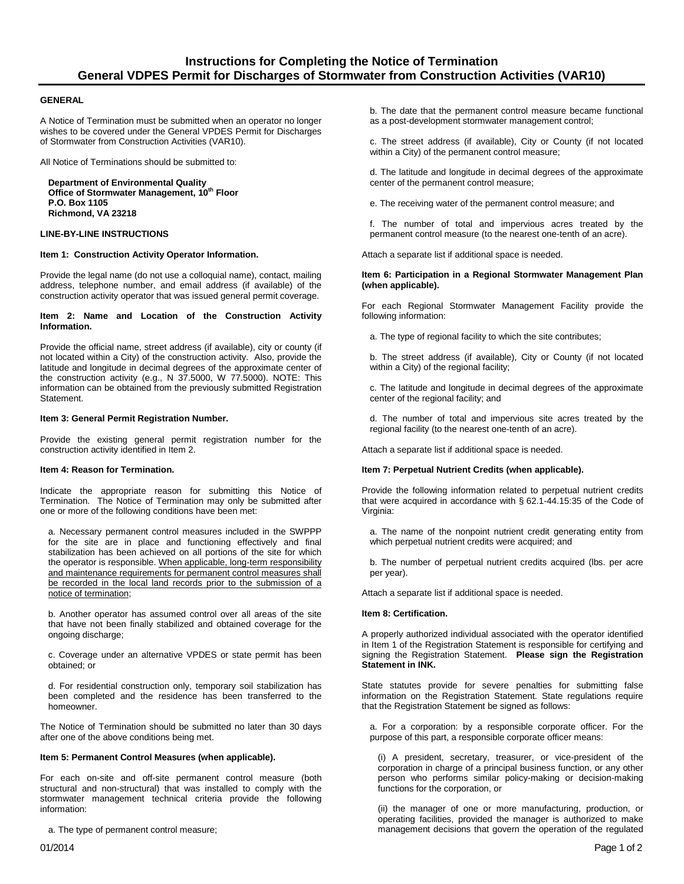#### **GENERAL**

A Notice of Termination must be submitted when an operator no longer wishes to be covered under the General VPDES Permit for Discharges of Stormwater from Construction Activities (VAR10).

All Notice of Terminations should be submitted to:

**Department of Environmental Quality Office of Stormwater Management, 10th Floor P.O. Box 1105 Richmond, VA 23218**

### **LINE-BY-LINE INSTRUCTIONS**

#### **Item 1: Construction Activity Operator Information.**

Provide the legal name (do not use a colloquial name), contact, mailing address, telephone number, and email address (if available) of the construction activity operator that was issued general permit coverage.

#### **Item 2: Name and Location of the Construction Activity Information.**

Provide the official name, street address (if available), city or county (if not located within a City) of the construction activity. Also, provide the latitude and longitude in decimal degrees of the approximate center of the construction activity (e.g., N 37.5000, W 77.5000). NOTE: This information can be obtained from the previously submitted Registration Statement.

#### **Item 3: General Permit Registration Number.**

Provide the existing general permit registration number for the construction activity identified in Item 2.

#### **Item 4: Reason for Termination.**

Indicate the appropriate reason for submitting this Notice of Termination. The Notice of Termination may only be submitted after one or more of the following conditions have been met:

a. Necessary permanent control measures included in the SWPPP for the site are in place and functioning effectively and final stabilization has been achieved on all portions of the site for which the operator is responsible. When applicable, long-term responsibility and maintenance requirements for permanent control measures shall be recorded in the local land records prior to the submission of a notice of termination;

b. Another operator has assumed control over all areas of the site that have not been finally stabilized and obtained coverage for the ongoing discharge;

c. Coverage under an alternative VPDES or state permit has been obtained; or

d. For residential construction only, temporary soil stabilization has been completed and the residence has been transferred to the homeowner.

The Notice of Termination should be submitted no later than 30 days after one of the above conditions being met.

#### **Item 5: Permanent Control Measures (when applicable).**

For each on-site and off-site permanent control measure (both structural and non-structural) that was installed to comply with the stormwater management technical criteria provide the following information:

a. The type of permanent control measure;

b. The date that the permanent control measure became functional as a post-development stormwater management control;

c. The street address (if available), City or County (if not located within a City) of the permanent control measure;

d. The latitude and longitude in decimal degrees of the approximate center of the permanent control measure;

e. The receiving water of the permanent control measure; and

f. The number of total and impervious acres treated by the permanent control measure (to the nearest one-tenth of an acre).

Attach a separate list if additional space is needed.

#### **Item 6: Participation in a Regional Stormwater Management Plan (when applicable).**

For each Regional Stormwater Management Facility provide the following information:

a. The type of regional facility to which the site contributes;

b. The street address (if available), City or County (if not located within a City) of the regional facility;

c. The latitude and longitude in decimal degrees of the approximate center of the regional facility; and

d. The number of total and impervious site acres treated by the regional facility (to the nearest one-tenth of an acre).

Attach a separate list if additional space is needed.

#### **Item 7: Perpetual Nutrient Credits (when applicable).**

Provide the following information related to perpetual nutrient credits that were acquired in accordance with § 62.1-44.15:35 of the Code of Virginia:

a. The name of the nonpoint nutrient credit generating entity from which perpetual nutrient credits were acquired; and

b. The number of perpetual nutrient credits acquired (lbs. per acre per year).

Attach a separate list if additional space is needed.

#### **Item 8: Certification.**

A properly authorized individual associated with the operator identified in Item 1 of the Registration Statement is responsible for certifying and signing the Registration Statement. **Please sign the Registration Statement in INK.**

State statutes provide for severe penalties for submitting false information on the Registration Statement. State regulations require that the Registration Statement be signed as follows:

a. For a corporation: by a responsible corporate officer. For the purpose of this part, a responsible corporate officer means:

(i) A president, secretary, treasurer, or vice-president of the corporation in charge of a principal business function, or any other person who performs similar policy-making or decision-making functions for the corporation, or

(ii) the manager of one or more manufacturing, production, or operating facilities, provided the manager is authorized to make management decisions that govern the operation of the regulated